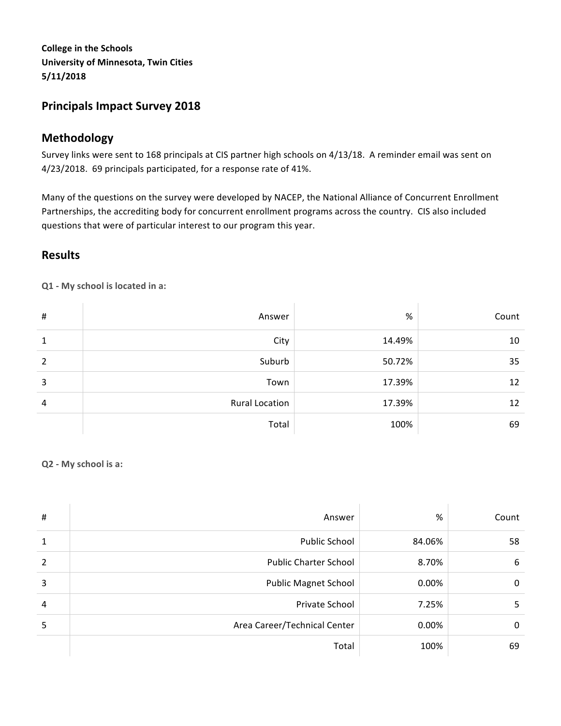**College in the Schools University of Minnesota, Twin Cities 5/11/2018**

# **Principals Impact Survey 2018**

# **Methodology**

Survey links were sent to 168 principals at CIS partner high schools on 4/13/18. A reminder email was sent on 4/23/2018. 69 principals participated, for a response rate of 41%.

Many of the questions on the survey were developed by NACEP, the National Alliance of Concurrent Enrollment Partnerships, the accrediting body for concurrent enrollment programs across the country. CIS also included questions that were of particular interest to our program this year.

## **Results**

**Q1 - My school is located in a:**

| #              | Answer                | %      | Count |
|----------------|-----------------------|--------|-------|
| 1              | City                  | 14.49% | 10    |
| $\mathfrak{p}$ | Suburb                | 50.72% | 35    |
| 3              | Town                  | 17.39% | 12    |
| 4              | <b>Rural Location</b> | 17.39% | 12    |
|                | Total                 | 100%   | 69    |

#### **Q2 - My school is a:**

| $\sharp$       | Answer                       | %      | Count |
|----------------|------------------------------|--------|-------|
| $\mathbf{1}$   | <b>Public School</b>         | 84.06% | 58    |
| $\overline{2}$ | <b>Public Charter School</b> | 8.70%  | 6     |
| 3              | <b>Public Magnet School</b>  | 0.00%  | 0     |
| 4              | Private School               | 7.25%  | 5     |
| 5              | Area Career/Technical Center | 0.00%  | 0     |
|                | Total                        | 100%   | 69    |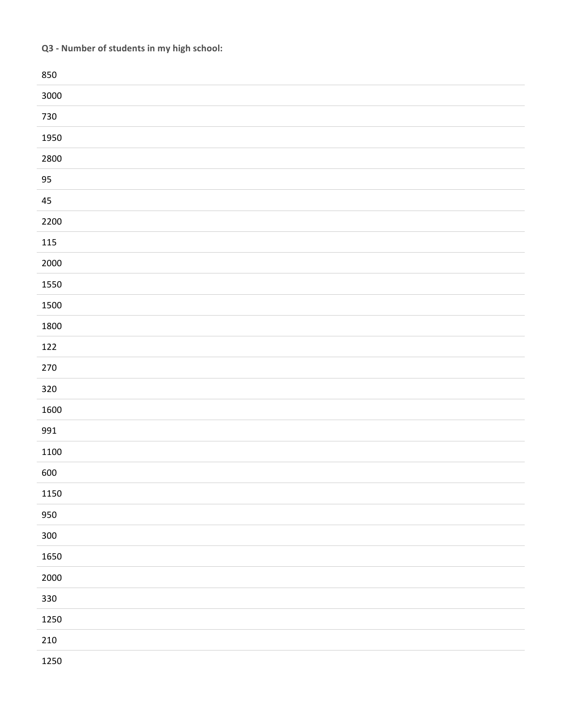# **Q3 - Number of students in my high school:**

| 850     |  |
|---------|--|
| 3000    |  |
| 730     |  |
| 1950    |  |
| 2800    |  |
| 95      |  |
| 45      |  |
| 2200    |  |
| $115\,$ |  |
| 2000    |  |
| 1550    |  |
| 1500    |  |
| 1800    |  |
| 122     |  |
| $270\,$ |  |
| 320     |  |
| 1600    |  |
| 991     |  |
| 1100    |  |
| 600     |  |
| 1150    |  |
| 950     |  |
| 300     |  |
| 1650    |  |
| 2000    |  |
| 330     |  |
| 1250    |  |
| $210\,$ |  |
| 1250    |  |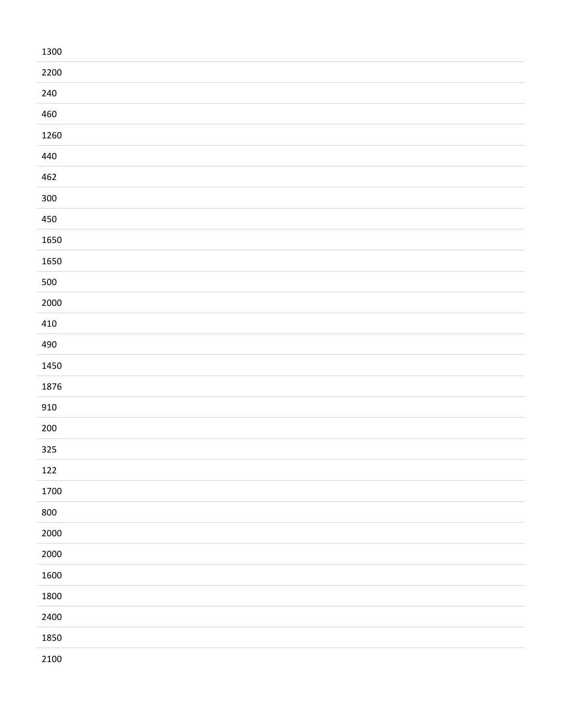| 1300    |  |
|---------|--|
| 2200    |  |
| 240     |  |
| 460     |  |
| 1260    |  |
| 440     |  |
| 462     |  |
| $300\,$ |  |
| 450     |  |
| 1650    |  |
| 1650    |  |
| 500     |  |
| 2000    |  |
| 410     |  |
| 490     |  |
| 1450    |  |
| 1876    |  |
| 910     |  |
| $200\,$ |  |
| 325     |  |
| 122     |  |
| 1700    |  |
| 800     |  |
| 2000    |  |
| 2000    |  |
| 1600    |  |
| 1800    |  |
| 2400    |  |
| 1850    |  |
| 2100    |  |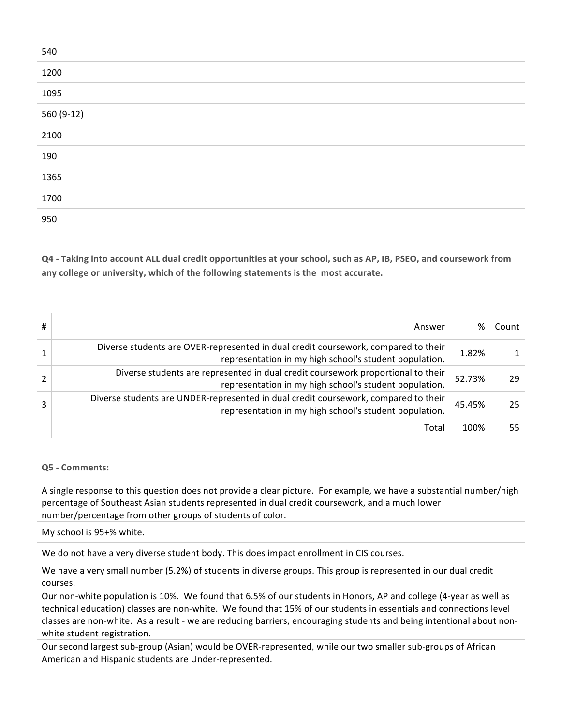| 540        |  |
|------------|--|
| 1200       |  |
| 1095       |  |
| 560 (9-12) |  |
| 2100       |  |
| 190        |  |
| 1365       |  |
| 1700       |  |
| 950        |  |

**Q4** - Taking into account ALL dual credit opportunities at your school, such as AP, IB, PSEO, and coursework from any college or university, which of the following statements is the most accurate.

| # | Answer                                                                                                                                        | %      | Count |
|---|-----------------------------------------------------------------------------------------------------------------------------------------------|--------|-------|
|   | Diverse students are OVER-represented in dual credit coursework, compared to their<br>representation in my high school's student population.  | 1.82%  |       |
|   | Diverse students are represented in dual credit coursework proportional to their<br>representation in my high school's student population.    | 52.73% | 29    |
| 3 | Diverse students are UNDER-represented in dual credit coursework, compared to their<br>representation in my high school's student population. | 45.45% | 25    |
|   | Total                                                                                                                                         | 100%   | 55    |

### **Q5 - Comments:**

A single response to this question does not provide a clear picture. For example, we have a substantial number/high percentage of Southeast Asian students represented in dual credit coursework, and a much lower number/percentage from other groups of students of color.

#### My school is 95+% white.

We do not have a very diverse student body. This does impact enrollment in CIS courses.

We have a very small number (5.2%) of students in diverse groups. This group is represented in our dual credit courses.

Our non-white population is 10%. We found that 6.5% of our students in Honors, AP and college (4-year as well as technical education) classes are non-white. We found that 15% of our students in essentials and connections level classes are non-white. As a result - we are reducing barriers, encouraging students and being intentional about nonwhite student registration.

Our second largest sub-group (Asian) would be OVER-represented, while our two smaller sub-groups of African American and Hispanic students are Under-represented.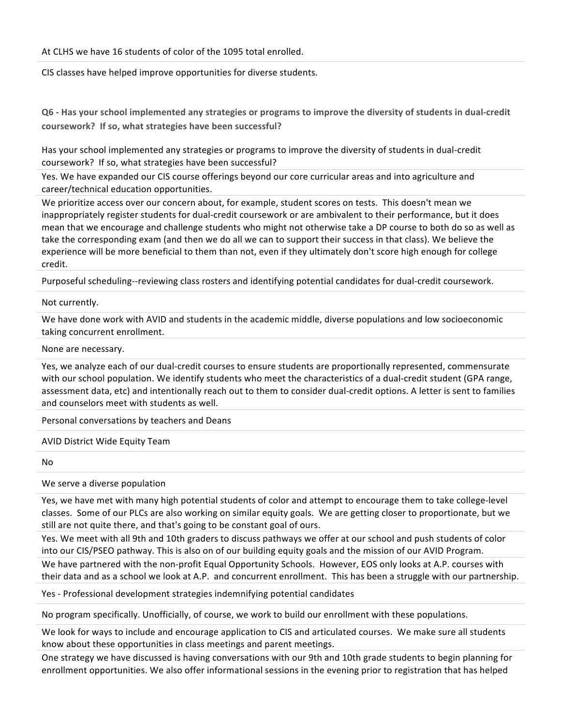At CLHS we have 16 students of color of the 1095 total enrolled.

CIS classes have helped improve opportunities for diverse students.

**Q6** - Has your school implemented any strategies or programs to improve the diversity of students in dual-credit coursework? If so, what strategies have been successful?

Has your school implemented any strategies or programs to improve the diversity of students in dual-credit coursework? If so, what strategies have been successful?

Yes. We have expanded our CIS course offerings beyond our core curricular areas and into agriculture and career/technical education opportunities.

We prioritize access over our concern about, for example, student scores on tests. This doesn't mean we inappropriately register students for dual-credit coursework or are ambivalent to their performance, but it does mean that we encourage and challenge students who might not otherwise take a DP course to both do so as well as take the corresponding exam (and then we do all we can to support their success in that class). We believe the experience will be more beneficial to them than not, even if they ultimately don't score high enough for college credit.

Purposeful scheduling--reviewing class rosters and identifying potential candidates for dual-credit coursework.

#### Not currently.

We have done work with AVID and students in the academic middle, diverse populations and low socioeconomic taking concurrent enrollment.

#### None are necessary.

Yes, we analyze each of our dual-credit courses to ensure students are proportionally represented, commensurate with our school population. We identify students who meet the characteristics of a dual-credit student (GPA range, assessment data, etc) and intentionally reach out to them to consider dual-credit options. A letter is sent to families and counselors meet with students as well.

Personal conversations by teachers and Deans

#### AVID District Wide Equity Team

No

#### We serve a diverse population

Yes, we have met with many high potential students of color and attempt to encourage them to take college-level classes. Some of our PLCs are also working on similar equity goals. We are getting closer to proportionate, but we still are not quite there, and that's going to be constant goal of ours.

Yes. We meet with all 9th and 10th graders to discuss pathways we offer at our school and push students of color into our CIS/PSEO pathway. This is also on of our building equity goals and the mission of our AVID Program.

We have partnered with the non-profit Equal Opportunity Schools. However, EOS only looks at A.P. courses with their data and as a school we look at A.P. and concurrent enrollment. This has been a struggle with our partnership.

Yes - Professional development strategies indemnifying potential candidates

No program specifically. Unofficially, of course, we work to build our enrollment with these populations.

We look for ways to include and encourage application to CIS and articulated courses. We make sure all students know about these opportunities in class meetings and parent meetings.

One strategy we have discussed is having conversations with our 9th and 10th grade students to begin planning for enrollment opportunities. We also offer informational sessions in the evening prior to registration that has helped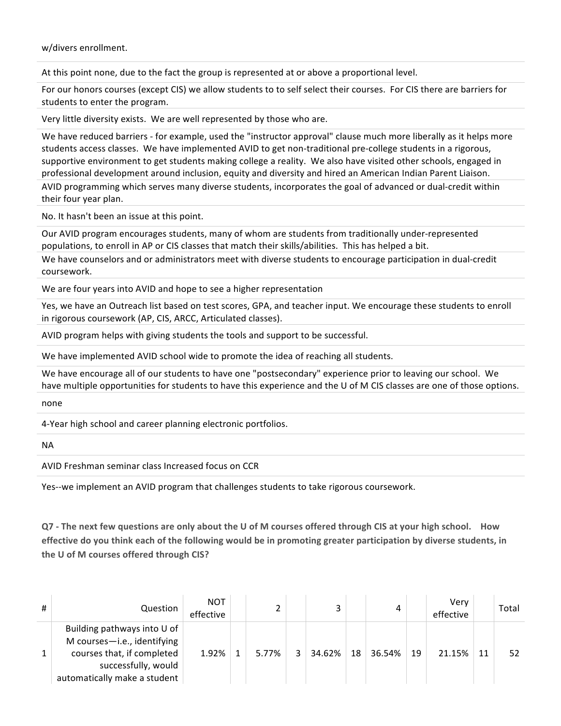w/divers enrollment.

At this point none, due to the fact the group is represented at or above a proportional level.

For our honors courses (except CIS) we allow students to to self select their courses. For CIS there are barriers for students to enter the program.

Very little diversity exists. We are well represented by those who are.

We have reduced barriers - for example, used the "instructor approval" clause much more liberally as it helps more students access classes. We have implemented AVID to get non-traditional pre-college students in a rigorous, supportive environment to get students making college a reality. We also have visited other schools, engaged in professional development around inclusion, equity and diversity and hired an American Indian Parent Liaison.

AVID programming which serves many diverse students, incorporates the goal of advanced or dual-credit within their four year plan.

No. It hasn't been an issue at this point.

Our AVID program encourages students, many of whom are students from traditionally under-represented populations, to enroll in AP or CIS classes that match their skills/abilities. This has helped a bit.

We have counselors and or administrators meet with diverse students to encourage participation in dual-credit coursework.

We are four years into AVID and hope to see a higher representation

Yes, we have an Outreach list based on test scores, GPA, and teacher input. We encourage these students to enroll in rigorous coursework (AP, CIS, ARCC, Articulated classes).

AVID program helps with giving students the tools and support to be successful.

We have implemented AVID school wide to promote the idea of reaching all students.

We have encourage all of our students to have one "postsecondary" experience prior to leaving our school. We have multiple opportunities for students to have this experience and the U of M CIS classes are one of those options.

none

4-Year high school and career planning electronic portfolios.

NA

AVID Freshman seminar class Increased focus on CCR

Yes--we implement an AVID program that challenges students to take rigorous coursework.

**Q7** - The next few questions are only about the U of M courses offered through CIS at your high school. How effective do you think each of the following would be in promoting greater participation by diverse students, in the U of M courses offered through CIS?

| #            | Question                                                                                                                                        | <b>NOT</b><br>effective |       |   | 3      |    |        |    | Verv<br>effective |    | Total |
|--------------|-------------------------------------------------------------------------------------------------------------------------------------------------|-------------------------|-------|---|--------|----|--------|----|-------------------|----|-------|
| $\mathbf{1}$ | Building pathways into U of<br>M courses-i.e., identifying<br>courses that, if completed<br>successfully, would<br>automatically make a student | 1.92%                   | 5.77% | ર | 34.62% | 18 | 36.54% | 19 | 21.15%            | 11 | 52    |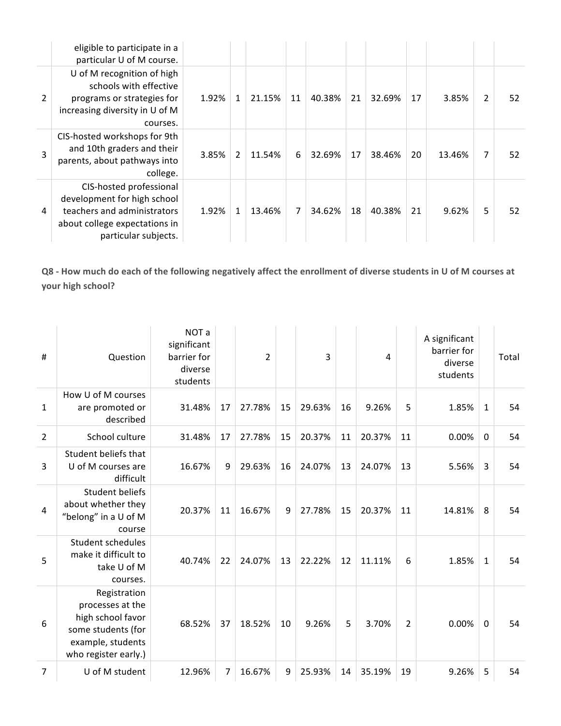|                | eligible to participate in a<br>particular U of M course.                                                                                      |       |                |        |    |        |    |        |    |        |               |    |
|----------------|------------------------------------------------------------------------------------------------------------------------------------------------|-------|----------------|--------|----|--------|----|--------|----|--------|---------------|----|
| $\overline{2}$ | U of M recognition of high<br>schools with effective<br>programs or strategies for<br>increasing diversity in U of M<br>courses.               | 1.92% | $\mathbf{1}$   | 21.15% | 11 | 40.38% | 21 | 32.69% | 17 | 3.85%  | $\mathcal{P}$ | 52 |
| 3              | CIS-hosted workshops for 9th<br>and 10th graders and their<br>parents, about pathways into<br>college.                                         | 3.85% | $\overline{2}$ | 11.54% | 6  | 32.69% | 17 | 38.46% | 20 | 13.46% | 7             | 52 |
| 4              | CIS-hosted professional<br>development for high school<br>teachers and administrators<br>about college expectations in<br>particular subjects. | 1.92% | 1              | 13.46% | 7  | 34.62% | 18 | 40.38% | 21 | 9.62%  | 5             | 52 |

Q8 - How much do each of the following negatively affect the enrollment of diverse students in U of M courses at **your high school?** 

| #              | Question                                                                                                                 | NOT a<br>significant<br>barrier for<br>diverse<br>students |    | $\overline{2}$ |    | 3      |    | 4      |                | A significant<br>barrier for<br>diverse<br>students |              | Total |
|----------------|--------------------------------------------------------------------------------------------------------------------------|------------------------------------------------------------|----|----------------|----|--------|----|--------|----------------|-----------------------------------------------------|--------------|-------|
| $\mathbf{1}$   | How U of M courses<br>are promoted or<br>described                                                                       | 31.48%                                                     | 17 | 27.78%         | 15 | 29.63% | 16 | 9.26%  | 5              | 1.85%                                               | $\mathbf{1}$ | 54    |
| $\overline{2}$ | School culture                                                                                                           | 31.48%                                                     | 17 | 27.78%         | 15 | 20.37% | 11 | 20.37% | 11             | 0.00%                                               | 0            | 54    |
| 3              | Student beliefs that<br>U of M courses are<br>difficult                                                                  | 16.67%                                                     | 9  | 29.63%         | 16 | 24.07% | 13 | 24.07% | 13             | 5.56%                                               | 3            | 54    |
| 4              | <b>Student beliefs</b><br>about whether they<br>"belong" in a U of M<br>course                                           | 20.37%                                                     | 11 | 16.67%         | 9  | 27.78% | 15 | 20.37% | 11             | 14.81%                                              | 8            | 54    |
| 5              | Student schedules<br>make it difficult to<br>take U of M<br>courses.                                                     | 40.74%                                                     | 22 | 24.07%         | 13 | 22.22% | 12 | 11.11% | 6              | 1.85%                                               | $\mathbf{1}$ | 54    |
| 6              | Registration<br>processes at the<br>high school favor<br>some students (for<br>example, students<br>who register early.) | 68.52%                                                     | 37 | 18.52%         | 10 | 9.26%  | 5  | 3.70%  | $\overline{2}$ | 0.00%                                               | 0            | 54    |
| $\overline{7}$ | U of M student                                                                                                           | 12.96%                                                     | 7  | 16.67%         | 9  | 25.93% | 14 | 35.19% | 19             | 9.26%                                               | 5            | 54    |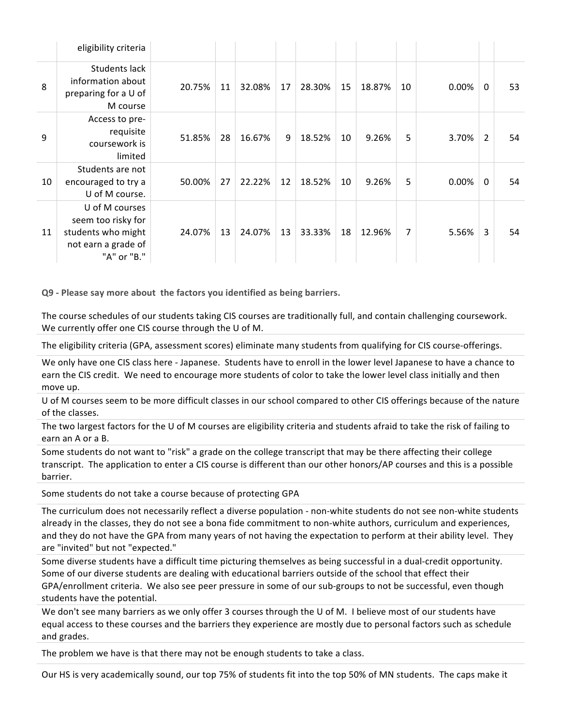|    | eligibility criteria                                                                             |        |    |        |    |        |    |        |                |       |                |    |
|----|--------------------------------------------------------------------------------------------------|--------|----|--------|----|--------|----|--------|----------------|-------|----------------|----|
| 8  | Students lack<br>information about<br>preparing for a U of<br>M course                           | 20.75% | 11 | 32.08% | 17 | 28.30% | 15 | 18.87% | 10             | 0.00% | 0              | 53 |
| 9  | Access to pre-<br>requisite<br>coursework is<br>limited                                          | 51.85% | 28 | 16.67% | 9  | 18.52% | 10 | 9.26%  | 5              | 3.70% | $\overline{2}$ | 54 |
| 10 | Students are not<br>encouraged to try a<br>U of M course.                                        | 50.00% | 27 | 22.22% | 12 | 18.52% | 10 | 9.26%  | 5              | 0.00% | $\mathbf{0}$   | 54 |
| 11 | U of M courses<br>seem too risky for<br>students who might<br>not earn a grade of<br>"A" or "B." | 24.07% | 13 | 24.07% | 13 | 33.33% | 18 | 12.96% | $\overline{7}$ | 5.56% | 3              | 54 |

**Q9 - Please say more about the factors you identified as being barriers.**

The course schedules of our students taking CIS courses are traditionally full, and contain challenging coursework. We currently offer one CIS course through the U of M.

The eligibility criteria (GPA, assessment scores) eliminate many students from qualifying for CIS course-offerings.

We only have one CIS class here - Japanese. Students have to enroll in the lower level Japanese to have a chance to earn the CIS credit. We need to encourage more students of color to take the lower level class initially and then move up.

U of M courses seem to be more difficult classes in our school compared to other CIS offerings because of the nature of the classes.

The two largest factors for the U of M courses are eligibility criteria and students afraid to take the risk of failing to earn an A or a B.

Some students do not want to "risk" a grade on the college transcript that may be there affecting their college transcript. The application to enter a CIS course is different than our other honors/AP courses and this is a possible barrier.

Some students do not take a course because of protecting GPA

The curriculum does not necessarily reflect a diverse population - non-white students do not see non-white students already in the classes, they do not see a bona fide commitment to non-white authors, curriculum and experiences, and they do not have the GPA from many years of not having the expectation to perform at their ability level. They are "invited" but not "expected."

Some diverse students have a difficult time picturing themselves as being successful in a dual-credit opportunity. Some of our diverse students are dealing with educational barriers outside of the school that effect their GPA/enrollment criteria. We also see peer pressure in some of our sub-groups to not be successful, even though students have the potential.

We don't see many barriers as we only offer 3 courses through the U of M. I believe most of our students have equal access to these courses and the barriers they experience are mostly due to personal factors such as schedule and grades.

The problem we have is that there may not be enough students to take a class.

Our HS is very academically sound, our top 75% of students fit into the top 50% of MN students. The caps make it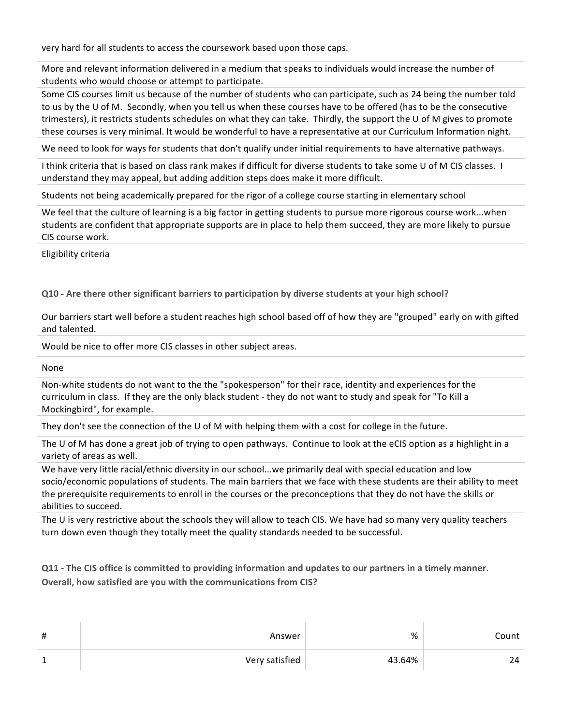very hard for all students to access the coursework based upon those caps.

More and relevant information delivered in a medium that speaks to individuals would increase the number of students who would choose or attempt to participate.

Some CIS courses limit us because of the number of students who can participate, such as 24 being the number told to us by the U of M. Secondly, when you tell us when these courses have to be offered (has to be the consecutive trimesters), it restricts students schedules on what they can take. Thirdly, the support the U of M gives to promote these courses is very minimal. It would be wonderful to have a representative at our Curriculum Information night.

We need to look for ways for students that don't qualify under initial requirements to have alternative pathways.

I think criteria that is based on class rank makes if difficult for diverse students to take some U of M CIS classes. I understand they may appeal, but adding addition steps does make it more difficult.

Students not being academically prepared for the rigor of a college course starting in elementary school

We feel that the culture of learning is a big factor in getting students to pursue more rigorous course work...when students are confident that appropriate supports are in place to help them succeed, they are more likely to pursue CIS course work.

Eligibility criteria

**Q10 -** Are there other significant barriers to participation by diverse students at your high school?

Our barriers start well before a student reaches high school based off of how they are "grouped" early on with gifted and talented.

Would be nice to offer more CIS classes in other subject areas.

None

Non-white students do not want to the the "spokesperson" for their race, identity and experiences for the curriculum in class. If they are the only black student - they do not want to study and speak for "To Kill a Mockingbird", for example.

They don't see the connection of the U of M with helping them with a cost for college in the future.

The U of M has done a great job of trying to open pathways. Continue to look at the eCIS option as a highlight in a variety of areas as well.

We have very little racial/ethnic diversity in our school...we primarily deal with special education and low socio/economic populations of students. The main barriers that we face with these students are their ability to meet the prerequisite requirements to enroll in the courses or the preconceptions that they do not have the skills or abilities to succeed.

The U is very restrictive about the schools they will allow to teach CIS. We have had so many very quality teachers turn down even though they totally meet the quality standards needed to be successful.

**Q11** - The CIS office is committed to providing information and updates to our partners in a timely manner. **Overall, how satisfied are you with the communications from CIS?** 

| $\sharp$ | Answer         | %      | Count |
|----------|----------------|--------|-------|
| 1        | Very satisfied | 43.64% | 24    |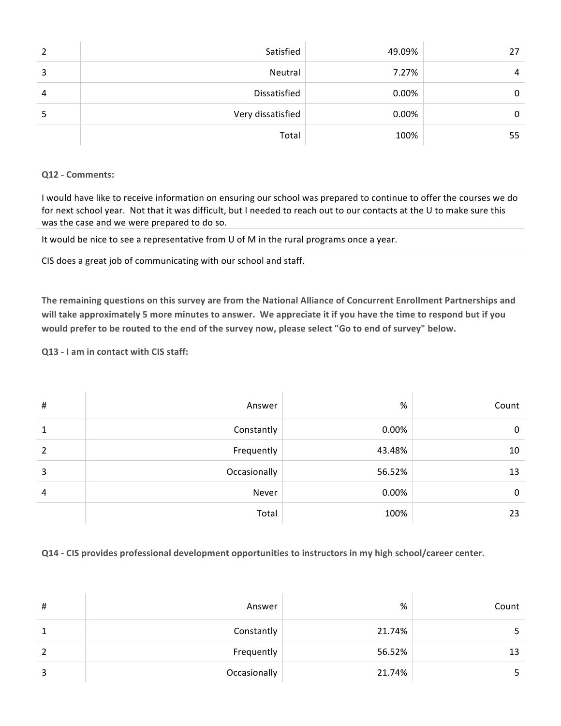| 2 | Satisfied         | 49.09% | 27 |
|---|-------------------|--------|----|
| 3 | Neutral           | 7.27%  | 4  |
| 4 | Dissatisfied      | 0.00%  | 0  |
| ь | Very dissatisfied | 0.00%  | 0  |
|   | Total             | 100%   | 55 |

#### **Q12 - Comments:**

I would have like to receive information on ensuring our school was prepared to continue to offer the courses we do for next school year. Not that it was difficult, but I needed to reach out to our contacts at the U to make sure this was the case and we were prepared to do so.

It would be nice to see a representative from U of M in the rural programs once a year.

CIS does a great job of communicating with our school and staff.

The remaining questions on this survey are from the National Alliance of Concurrent Enrollment Partnerships and will take approximately 5 more minutes to answer. We appreciate it if you have the time to respond but if you would prefer to be routed to the end of the survey now, please select "Go to end of survey" below.

**Q13 - I am in contact with CIS staff:**

| $\sharp$       | Answer       | $\%$   | Count |
|----------------|--------------|--------|-------|
| 1              | Constantly   | 0.00%  | 0     |
| $\overline{2}$ | Frequently   | 43.48% | 10    |
| 3              | Occasionally | 56.52% | 13    |
| $\overline{4}$ | Never        | 0.00%  | 0     |
|                | Total        | 100%   | 23    |

**Q14 - CIS provides professional development opportunities to instructors in my high school/career center.**

| $\sharp$ | Answer       | %      | Count |
|----------|--------------|--------|-------|
|          | Constantly   | 21.74% |       |
| 2        | Frequently   | 56.52% | 13    |
| 3        | Occasionally | 21.74% |       |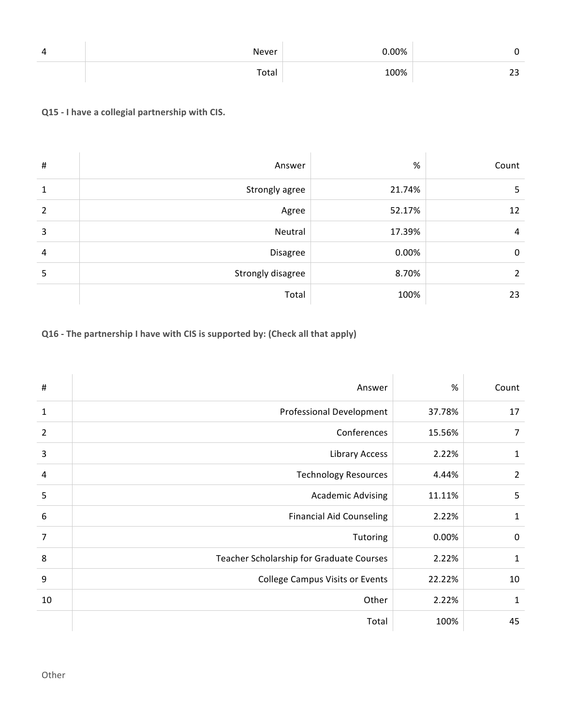| 4 | Never | $0.00\%$ |            |
|---|-------|----------|------------|
|   | Total | 100%     | . .<br>۔ ے |

## **Q15 - I have a collegial partnership with CIS.**

| $\sharp$       | Answer            | %      | Count          |
|----------------|-------------------|--------|----------------|
| 1              | Strongly agree    | 21.74% | 5              |
| $\overline{2}$ | Agree             | 52.17% | 12             |
| 3              | Neutral           | 17.39% | 4              |
| 4              | Disagree          | 0.00%  | 0              |
| 5              | Strongly disagree | 8.70%  | $\overline{2}$ |
|                | Total             | 100%   | 23             |

# **Q16** - The partnership I have with CIS is supported by: (Check all that apply)

| #              | Answer                                   | $\%$   | Count          |
|----------------|------------------------------------------|--------|----------------|
| $1\,$          | <b>Professional Development</b>          | 37.78% | 17             |
| $\overline{2}$ | Conferences                              | 15.56% | 7              |
| $\mathbf{3}$   | <b>Library Access</b>                    | 2.22%  | 1              |
| 4              | <b>Technology Resources</b>              | 4.44%  | $\overline{2}$ |
| 5              | <b>Academic Advising</b>                 | 11.11% | 5              |
| 6              | <b>Financial Aid Counseling</b>          | 2.22%  | 1              |
| $\overline{7}$ | Tutoring                                 | 0.00%  | 0              |
| 8              | Teacher Scholarship for Graduate Courses | 2.22%  | 1              |
| 9              | <b>College Campus Visits or Events</b>   | 22.22% | 10             |
| 10             | Other                                    | 2.22%  | 1              |
|                | Total                                    | 100%   | 45             |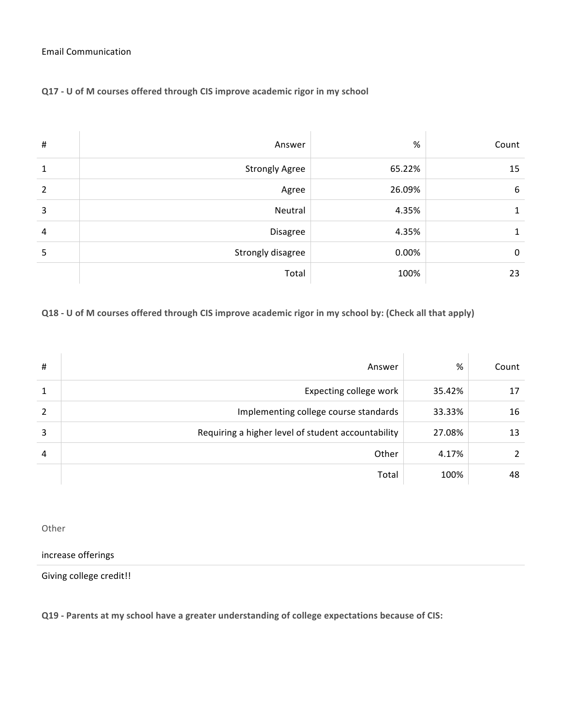#### Email Communication

## **Q17 - U of M courses offered through CIS improve academic rigor in my school**

| # | Answer                | %      | Count |
|---|-----------------------|--------|-------|
| 1 | <b>Strongly Agree</b> | 65.22% | 15    |
| 2 | Agree                 | 26.09% | 6     |
| 3 | Neutral               | 4.35%  | 1     |
| 4 | Disagree              | 4.35%  | 1     |
| 5 | Strongly disagree     | 0.00%  | 0     |
|   | Total                 | 100%   | 23    |

## **Q18 - U** of M courses offered through CIS improve academic rigor in my school by: (Check all that apply)

| # | Answer                                             | %      | Count         |
|---|----------------------------------------------------|--------|---------------|
| 1 | Expecting college work                             | 35.42% | 17            |
| 2 | Implementing college course standards              | 33.33% | 16            |
| 3 | Requiring a higher level of student accountability | 27.08% | 13            |
| 4 | Other                                              | 4.17%  | $\mathcal{L}$ |
|   | Total                                              | 100%   | 48            |

Other

increase offerings

Giving college credit!!

**Q19 - Parents at my school have a greater understanding of college expectations because of CIS:**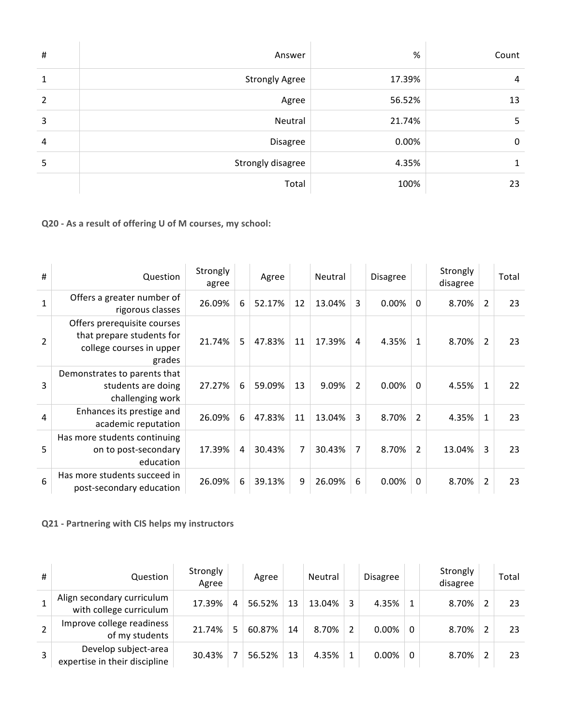| $\sharp$       | Answer                | $\%$   | Count |
|----------------|-----------------------|--------|-------|
| 1              | <b>Strongly Agree</b> | 17.39% | 4     |
| $\overline{2}$ | Agree                 | 56.52% | 13    |
| 3              | Neutral               | 21.74% | 5     |
| 4              | Disagree              | 0.00%  | 0     |
| 5              | Strongly disagree     | 4.35%  |       |
|                | Total                 | 100%   | 23    |

**Q20 -** As a result of offering U of M courses, my school:

| #               | Question                                                                                       | Strongly<br>agree |   | Agree  |    | Neutral |                | <b>Disagree</b> |                | Strongly<br>disagree |                | Total |
|-----------------|------------------------------------------------------------------------------------------------|-------------------|---|--------|----|---------|----------------|-----------------|----------------|----------------------|----------------|-------|
| $\mathbf{1}$    | Offers a greater number of<br>rigorous classes                                                 | 26.09%            | 6 | 52.17% | 12 | 13.04%  | 3              | 0.00%           | $\Omega$       | 8.70%                | $\overline{2}$ | 23    |
| $\overline{2}$  | Offers prerequisite courses<br>that prepare students for<br>college courses in upper<br>grades | 21.74%            | 5 | 47.83% | 11 | 17.39%  | 4              | 4.35%           | 1              | 8.70%                | $\mathcal{P}$  | 23    |
| 3               | Demonstrates to parents that<br>students are doing<br>challenging work                         | 27.27%            | 6 | 59.09% | 13 | 9.09%   | $\overline{2}$ | 0.00%           | $\Omega$       | 4.55%                | 1              | 22    |
| 4               | Enhances its prestige and<br>academic reputation                                               | 26.09%            | 6 | 47.83% | 11 | 13.04%  | 3              | 8.70%           | $\overline{2}$ | 4.35%                | 1              | 23    |
| 5               | Has more students continuing<br>on to post-secondary<br>education                              | 17.39%            | 4 | 30.43% | 7  | 30.43%  | $\overline{7}$ | 8.70%           | $\overline{2}$ | 13.04%               | 3              | 23    |
| $6\phantom{1}6$ | Has more students succeed in<br>post-secondary education                                       | 26.09%            | 6 | 39.13% | 9  | 26.09%  | 6              | $0.00\%$        | 0              | 8.70%                | $\overline{2}$ | 23    |

**Q21 - Partnering with CIS helps my instructors**

| # | Question                                              | Strongly<br>Agree |   | Agree  |    | Neutral |               | <b>Disagree</b> |   | Strongly<br>disagree | Total |
|---|-------------------------------------------------------|-------------------|---|--------|----|---------|---------------|-----------------|---|----------------------|-------|
|   | Align secondary curriculum<br>with college curriculum | 17.39%            | 4 | 56.52% | 13 | 13.04%  | 3             | 4.35%           |   | 8.70%                | 23    |
|   | Improve college readiness<br>of my students           | 21.74%            | 5 | 60.87% | 14 | 8.70%   | $\mathfrak z$ | 0.00%           | 0 | 8.70%                | 23    |
|   | Develop subject-area<br>expertise in their discipline | 30.43%            |   | 56.52% | 13 | 4.35%   | 1             | 0.00%           | 0 | 8.70%                | 23    |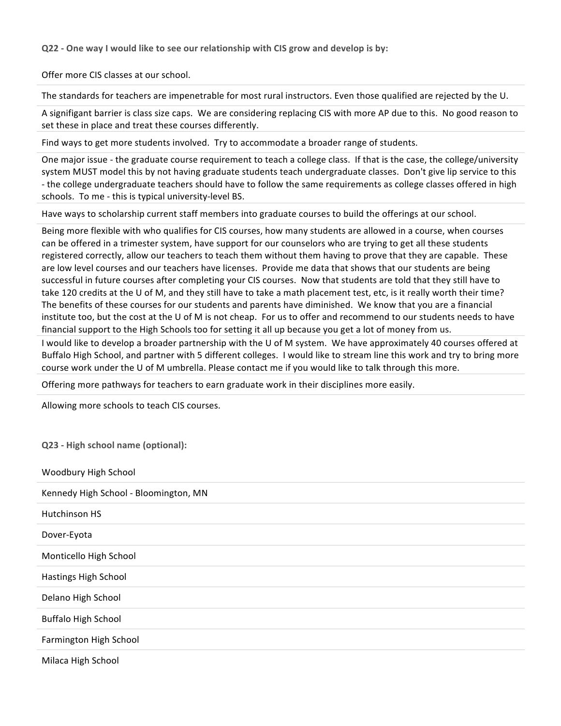**Q22** - One way I would like to see our relationship with CIS grow and develop is by:

Offer more CIS classes at our school.

The standards for teachers are impenetrable for most rural instructors. Even those qualified are rejected by the U.

A signifigant barrier is class size caps. We are considering replacing CIS with more AP due to this. No good reason to set these in place and treat these courses differently.

Find ways to get more students involved. Try to accommodate a broader range of students.

One major issue - the graduate course requirement to teach a college class. If that is the case, the college/university system MUST model this by not having graduate students teach undergraduate classes. Don't give lip service to this - the college undergraduate teachers should have to follow the same requirements as college classes offered in high schools. To me - this is typical university-level BS.

Have ways to scholarship current staff members into graduate courses to build the offerings at our school.

Being more flexible with who qualifies for CIS courses, how many students are allowed in a course, when courses can be offered in a trimester system, have support for our counselors who are trying to get all these students registered correctly, allow our teachers to teach them without them having to prove that they are capable. These are low level courses and our teachers have licenses. Provide me data that shows that our students are being successful in future courses after completing your CIS courses. Now that students are told that they still have to take 120 credits at the U of M, and they still have to take a math placement test, etc, is it really worth their time? The benefits of these courses for our students and parents have diminished. We know that you are a financial institute too, but the cost at the U of M is not cheap. For us to offer and recommend to our students needs to have financial support to the High Schools too for setting it all up because you get a lot of money from us.

I would like to develop a broader partnership with the U of M system. We have approximately 40 courses offered at Buffalo High School, and partner with 5 different colleges. I would like to stream line this work and try to bring more course work under the U of M umbrella. Please contact me if you would like to talk through this more.

Offering more pathways for teachers to earn graduate work in their disciplines more easily.

Allowing more schools to teach CIS courses.

**Q23 - High school name (optional):**

| Woodbury High School                  |
|---------------------------------------|
| Kennedy High School - Bloomington, MN |
| Hutchinson HS                         |
| Dover-Eyota                           |
| Monticello High School                |
| Hastings High School                  |
| Delano High School                    |
| <b>Buffalo High School</b>            |
| Farmington High School                |
| Milaca High School                    |